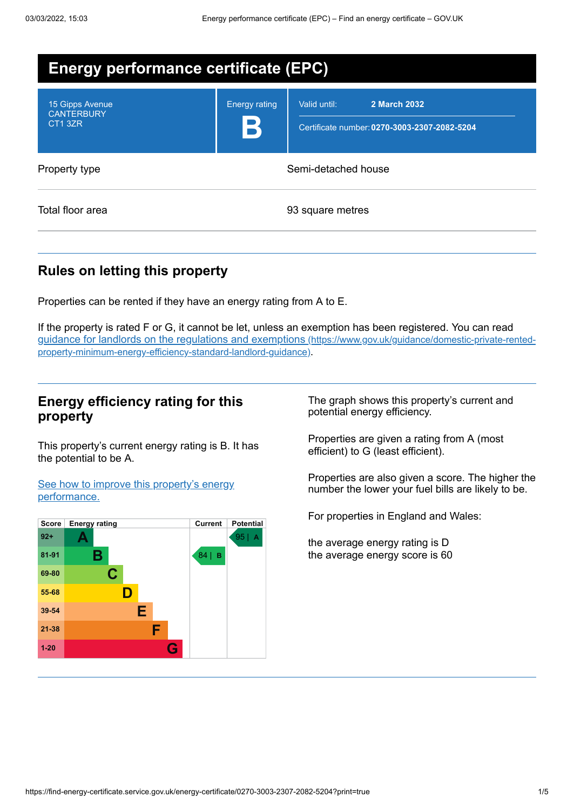| <b>Energy performance certificate (EPC)</b>     |                      |                                                                              |
|-------------------------------------------------|----------------------|------------------------------------------------------------------------------|
| 15 Gipps Avenue<br><b>CANTERBURY</b><br>CT1 3ZR | <b>Energy rating</b> | Valid until:<br>2 March 2032<br>Certificate number: 0270-3003-2307-2082-5204 |
| Property type                                   | Semi-detached house  |                                                                              |
| Total floor area                                | 93 square metres     |                                                                              |

## **Rules on letting this property**

Properties can be rented if they have an energy rating from A to E.

If the property is rated F or G, it cannot be let, unless an exemption has been registered. You can read guidance for landlords on the regulations and exemptions (https://www.gov.uk/guidance/domestic-private-rented[property-minimum-energy-efficiency-standard-landlord-guidance\)](https://www.gov.uk/guidance/domestic-private-rented-property-minimum-energy-efficiency-standard-landlord-guidance).

### **Energy efficiency rating for this property**

This property's current energy rating is B. It has the potential to be A.

See how to improve this property's energy [performance.](#page-2-0)



The graph shows this property's current and potential energy efficiency.

Properties are given a rating from A (most efficient) to G (least efficient).

Properties are also given a score. The higher the number the lower your fuel bills are likely to be.

For properties in England and Wales:

the average energy rating is D the average energy score is 60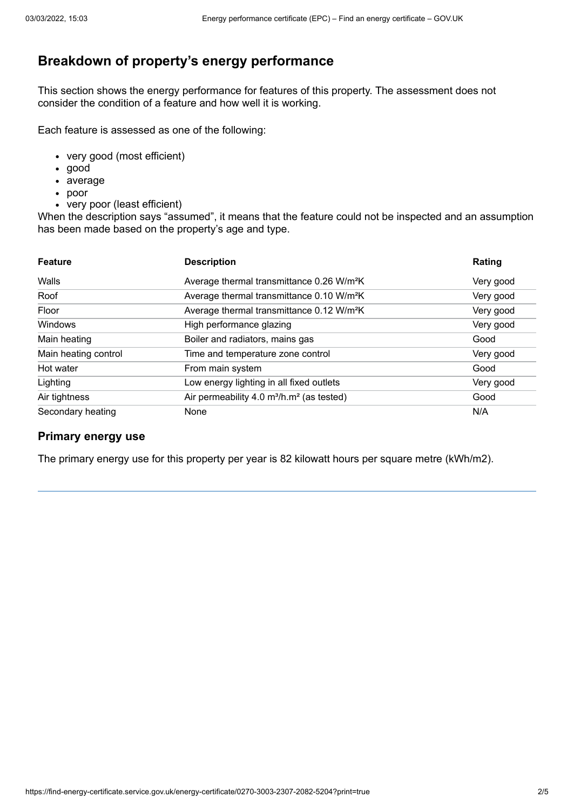## **Breakdown of property's energy performance**

This section shows the energy performance for features of this property. The assessment does not consider the condition of a feature and how well it is working.

Each feature is assessed as one of the following:

- very good (most efficient)
- good
- average
- poor
- very poor (least efficient)

When the description says "assumed", it means that the feature could not be inspected and an assumption has been made based on the property's age and type.

| <b>Feature</b>       | <b>Description</b>                                                | Rating    |
|----------------------|-------------------------------------------------------------------|-----------|
| Walls                | Average thermal transmittance 0.26 W/m <sup>2</sup> K             | Very good |
| Roof                 | Average thermal transmittance 0.10 W/m <sup>2</sup> K             | Very good |
| Floor                | Average thermal transmittance 0.12 W/m <sup>2</sup> K             | Very good |
| Windows              | High performance glazing                                          | Very good |
| Main heating         | Boiler and radiators, mains gas                                   | Good      |
| Main heating control | Time and temperature zone control                                 | Very good |
| Hot water            | From main system                                                  | Good      |
| Lighting             | Low energy lighting in all fixed outlets                          | Very good |
| Air tightness        | Air permeability 4.0 m <sup>3</sup> /h.m <sup>2</sup> (as tested) | Good      |
| Secondary heating    | None                                                              | N/A       |

#### **Primary energy use**

The primary energy use for this property per year is 82 kilowatt hours per square metre (kWh/m2).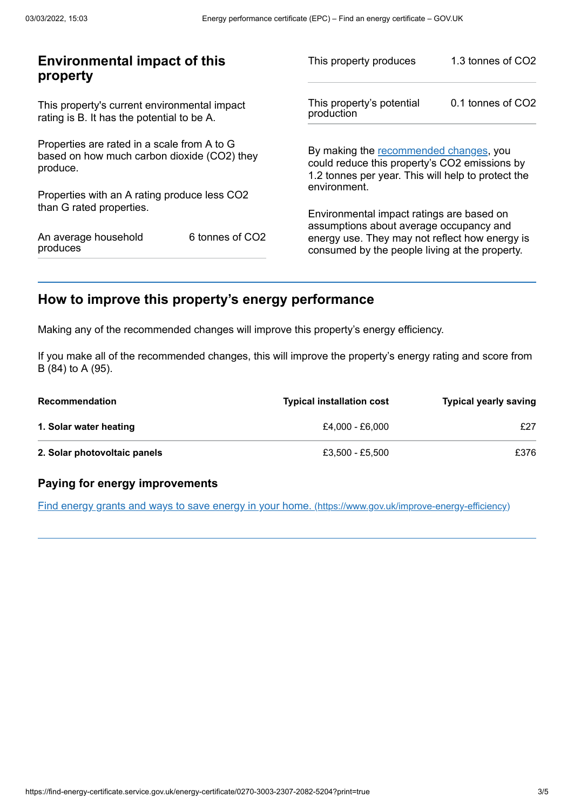| <b>Environmental impact of this</b><br>property                                                        |                 | This property produces                                                                                                                        | 1.3 tonnes of CO2 |
|--------------------------------------------------------------------------------------------------------|-----------------|-----------------------------------------------------------------------------------------------------------------------------------------------|-------------------|
| This property's current environmental impact<br>rating is B. It has the potential to be A.             |                 | This property's potential<br>production                                                                                                       | 0.1 tonnes of CO2 |
| Properties are rated in a scale from A to G<br>based on how much carbon dioxide (CO2) they<br>produce. |                 | By making the recommended changes, you<br>could reduce this property's CO2 emissions by<br>1.2 tonnes per year. This will help to protect the |                   |
| Properties with an A rating produce less CO2                                                           |                 | environment.                                                                                                                                  |                   |
| than G rated properties.                                                                               |                 | Environmental impact ratings are based on<br>assumptions about average occupancy and                                                          |                   |
| An average household<br>produces                                                                       | 6 tonnes of CO2 | energy use. They may not reflect how energy is<br>consumed by the people living at the property.                                              |                   |
|                                                                                                        |                 |                                                                                                                                               |                   |

## <span id="page-2-0"></span>**How to improve this property's energy performance**

Making any of the recommended changes will improve this property's energy efficiency.

If you make all of the recommended changes, this will improve the property's energy rating and score from B (84) to A (95).

| <b>Recommendation</b>        | <b>Typical installation cost</b> | <b>Typical yearly saving</b> |
|------------------------------|----------------------------------|------------------------------|
| 1. Solar water heating       | £4.000 - £6.000                  | £27                          |
| 2. Solar photovoltaic panels | £3.500 - £5.500                  | £376                         |

#### **Paying for energy improvements**

Find energy grants and ways to save energy in your home. [\(https://www.gov.uk/improve-energy-efficiency\)](https://www.gov.uk/improve-energy-efficiency)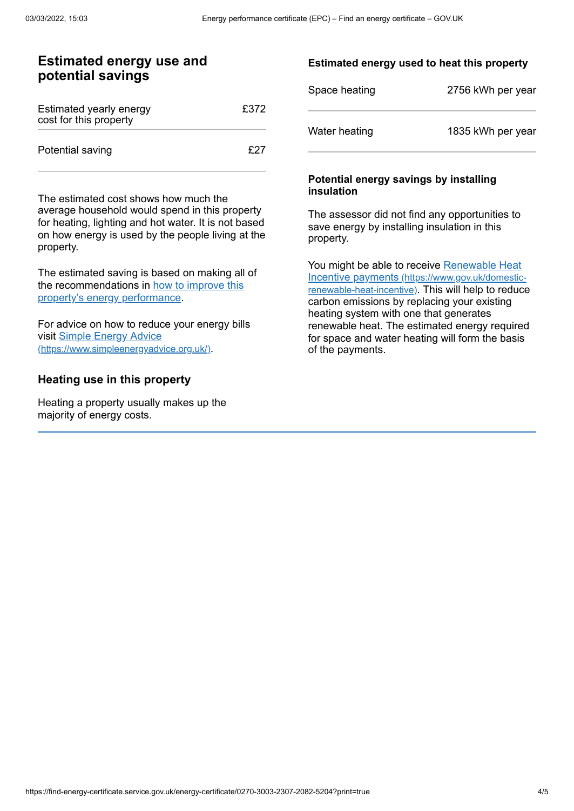#### **Estimated energy use and potential savings**

| Estimated yearly energy<br>cost for this property | £372 |
|---------------------------------------------------|------|
| Potential saving                                  | f27  |

The estimated cost shows how much the average household would spend in this property for heating, lighting and hot water. It is not based on how energy is used by the people living at the property.

The estimated saving is based on making all of the [recommendations](#page-2-0) in how to improve this property's energy performance.

For advice on how to reduce your energy bills visit Simple Energy Advice [\(https://www.simpleenergyadvice.org.uk/\)](https://www.simpleenergyadvice.org.uk/).

#### **Heating use in this property**

Heating a property usually makes up the majority of energy costs.

#### **Estimated energy used to heat this property**

| Space heating | 2756 kWh per year |
|---------------|-------------------|
| Water heating | 1835 kWh per year |

#### **Potential energy savings by installing insulation**

The assessor did not find any opportunities to save energy by installing insulation in this property.

You might be able to receive Renewable Heat Incentive payments [\(https://www.gov.uk/domestic](https://www.gov.uk/domestic-renewable-heat-incentive)renewable-heat-incentive). This will help to reduce carbon emissions by replacing your existing heating system with one that generates renewable heat. The estimated energy required for space and water heating will form the basis of the payments.